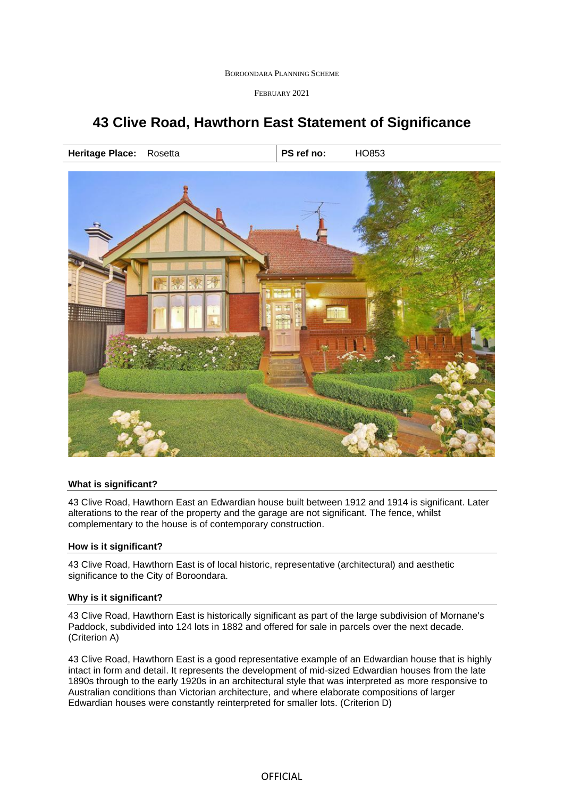BOROONDARA PLANNING SCHEME

FEBRUARY 2021

# **43 Clive Road, Hawthorn East Statement of Significance**

**Heritage Place:** Rosetta **PS ref no: HO853** 



### **What is significant?**

43 Clive Road, Hawthorn East an Edwardian house built between 1912 and 1914 is significant. Later alterations to the rear of the property and the garage are not significant. The fence, whilst complementary to the house is of contemporary construction.

### **How is it significant?**

43 Clive Road, Hawthorn East is of local historic, representative (architectural) and aesthetic significance to the City of Boroondara.

### **Why is it significant?**

43 Clive Road, Hawthorn East is historically significant as part of the large subdivision of Mornane's Paddock, subdivided into 124 lots in 1882 and offered for sale in parcels over the next decade. (Criterion A)

43 Clive Road, Hawthorn East is a good representative example of an Edwardian house that is highly intact in form and detail. It represents the development of mid-sized Edwardian houses from the late 1890s through to the early 1920s in an architectural style that was interpreted as more responsive to Australian conditions than Victorian architecture, and where elaborate compositions of larger Edwardian houses were constantly reinterpreted for smaller lots. (Criterion D)